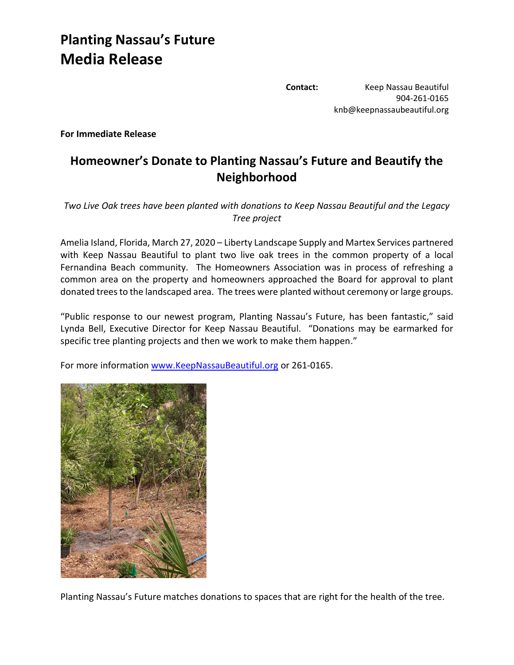## **Planting Nassau's Future Media Release**

**Contact:** Keep Nassau Beautiful 904-261-0165 knb@keepnassaubeautiful.org

**For Immediate Release**

## **Homeowner's Donate to Planting Nassau's Future and Beautify the Neighborhood**

*Two Live Oak trees have been planted with donations to Keep Nassau Beautiful and the Legacy Tree project*

Amelia Island, Florida, March 27, 2020 – Liberty Landscape Supply and Martex Services partnered with Keep Nassau Beautiful to plant two live oak trees in the common property of a local Fernandina Beach community. The Homeowners Association was in process of refreshing a common area on the property and homeowners approached the Board for approval to plant donated trees to the landscaped area. The trees were planted without ceremony or large groups.

"Public response to our newest program, Planting Nassau's Future, has been fantastic," said Lynda Bell, Executive Director for Keep Nassau Beautiful. "Donations may be earmarked for specific tree planting projects and then we work to make them happen."

For more information [www.KeepNassauBeautiful.org](http://www.keepnassaubeautiful.org/) or 261-0165.



Planting Nassau's Future matches donations to spaces that are right for the health of the tree.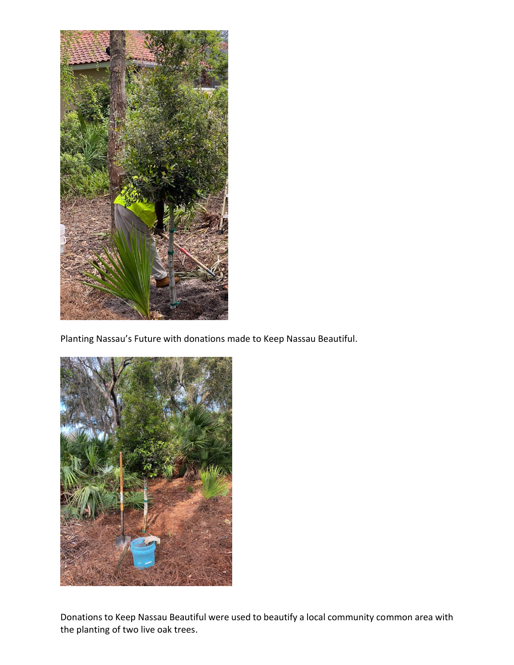

Planting Nassau's Future with donations made to Keep Nassau Beautiful.



Donations to Keep Nassau Beautiful were used to beautify a local community common area with the planting of two live oak trees.